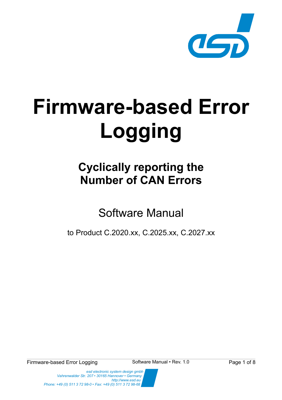

# **Firmware-based Error Logging**

## **Cyclically reporting the Number of CAN Errors**

Software Manual

to Product C.2020.xx, C.2025.xx, C.2027.xx

Firmware-based Error Logging Software Manual • Rev. 1.0 Page 1 of 8

 *esd electronic system design gmbh Vahrenwalder Str. 207 • 30165 Hannover • Germany http://www.esd.eu Phone: +49 (0) 511 3 72 98-0 • Fax: +49 (0) 511 3 72 98-68*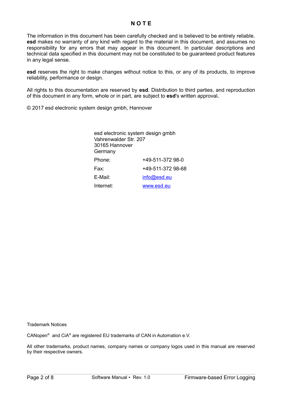#### **N O T E**

The information in this document has been carefully checked and is believed to be entirely reliable. **esd** makes no warranty of any kind with regard to the material in this document, and assumes no responsibility for any errors that may appear in this document. In particular descriptions and technical data specified in this document may not be constituted to be guaranteed product features in any legal sense.

**esd** reserves the right to make changes without notice to this, or any of its products, to improve reliability, performance or design.

All rights to this documentation are reserved by **esd**. Distribution to third parties, and reproduction of this document in any form, whole or in part, are subject to **esd**'s written approval**.**

© 2017 esd electronic system design gmbh, Hannover

| Vahrenwalder Str. 207<br>30165 Hannover<br>Germany | esd electronic system design gmbh |
|----------------------------------------------------|-----------------------------------|
| Phone:                                             | +49-511-372 98-0                  |
| Fax:                                               | +49-511-372 98-68                 |
| E-Mail:                                            | info@esd.eu                       |
| Internet:                                          | www.esd.eu                        |

Trademark Notices

CANopen<sup>®</sup> and CiA<sup>®</sup> are registered EU trademarks of CAN in Automation e.V.

All other trademarks, product names, company names or company logos used in this manual are reserved by their respective owners.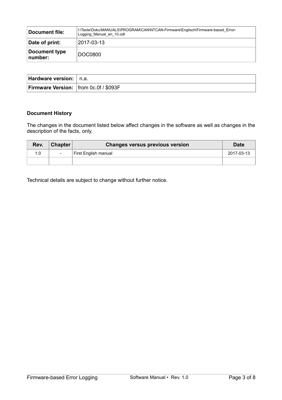| Document file:           | I:\Texte\Doku\MANUALS\PROGRAM\CAN\NTCAN-Firmware\Englisch\Firmware-based Error-<br>Logging Manual en 10.odt |
|--------------------------|-------------------------------------------------------------------------------------------------------------|
| Date of print:           | 2017-03-13                                                                                                  |
| Document type<br>number: | <b>DOC0800</b>                                                                                              |

| Hardware version:   n.a.                     |  |
|----------------------------------------------|--|
| <b>Firmware Version:</b> from 0c.0f / \$093F |  |

#### **Document History**

The changes in the document listed below affect changes in the software as well as changes in the description of the facts, only.

| Rev. | <b>Chapter</b> | <b>Changes versus previous version</b> | Date       |
|------|----------------|----------------------------------------|------------|
| 1.0  |                | First English manual                   | 2017-03-13 |
|      |                |                                        |            |

Technical details are subject to change without further notice.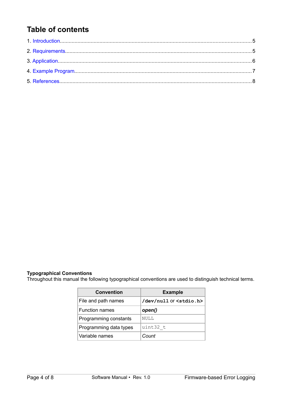### **Table of contents**

#### **Typographical Conventions**

Throughout this manual the following typographical conventions are used to distinguish technical terms.

| <b>Convention</b>      | <b>Example</b>                   |  |
|------------------------|----------------------------------|--|
| File and path names    | /dev/null or <stdio.h></stdio.h> |  |
| <b>Function names</b>  | open()                           |  |
| Programming constants  | NULL                             |  |
| Programming data types | uint32 t                         |  |
| Variable names         | Count                            |  |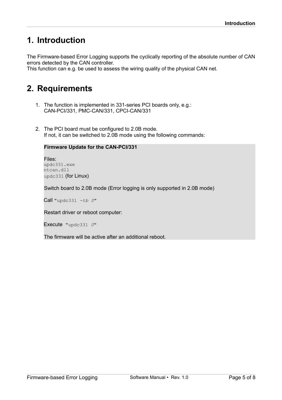## <span id="page-4-1"></span>**1. Introduction**

The Firmware-based Error Logging supports the cyclically reporting of the absolute number of CAN errors detected by the CAN controller.

This function can e.g. be used to assess the wiring quality of the physical CAN net.

## <span id="page-4-0"></span>**2. Requirements**

- 1. The function is implemented in 331-series PCI boards only, e.g.: CAN-PCI/331, PMC-CAN/331, CPCI-CAN/331
- 2. The PCI board must be configured to 2.0B mode. If not, it can be switched to 2.0B mode using the following commands:

#### **Firmware Update for the CAN-PCI/331**

Files: updc331.exe ntcan.dll updc331 (for Linux)

Switch board to 2.0B mode (Error logging is only supported in 2.0B mode)

Call "updc331 *-tb 0*"

Restart driver or reboot computer:

Execute "updc331 *0*"

The firmware will be active after an additional reboot.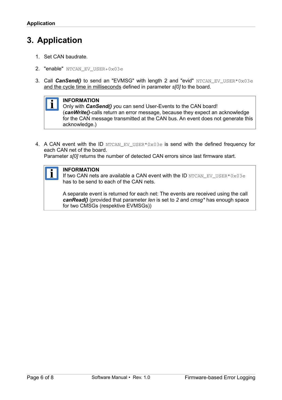## <span id="page-5-0"></span>**3. Application**

- 1. Set CAN baudrate.
- 2. "enable" NTCAN EV USER+0x03e
- 3. Call *CanSend()* to send an "EVMSG" with length 2 and "evid" NTCAN EV USER\*0x03e and the cycle time in milliseconds defined in parameter *s[0]* to the board.



Only with *CanSend() y*ou can send User-Events to the CAN board! (*canWrite()*-calls return an error message, because they expect an acknowledge for the CAN message transmitted at the CAN bus. An event does not generate this acknowledge.)

4. A CAN event with the ID NTCAN\_EV\_USER\*0x03e is send with the defined frequency for each CAN net of the board.

Parameter *s[0]* returns the number of detected CAN errors since last firmware start.

#### **INFORMATION**

If two CAN nets are available a CAN event with the ID NTCAN\_EV\_USER\*0x03e has to be send to each of the CAN nets.

A separate event is returned for each net: The events are received using the call *canRead()* (provided that parameter *len* is set to *2* and *cmsg\** has enough space for two CMSGs (respektive EVMSGs))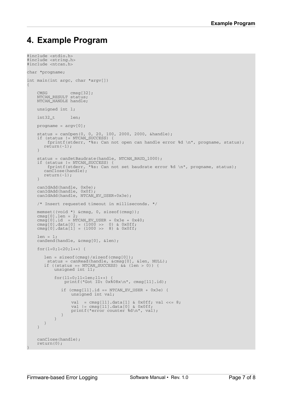## <span id="page-6-0"></span>**4. Example Program**

```
#include <stdio.h>
#include <string.h>
#include <ntcan.h>
char *progname;
int main(int argc, char *argv[])
{
CMSG cmsg[32];
NTCAN_RESULT status;
    NTCAN_HANDLE handle;
    unsigned int l;
    int32_t len;
   progname = \text{argv}[0];
 status = canOpen(0, 0, 20, 100, 2000, 2000, &handle);
 if (status != NTCAN_SUCCESS) {
        fprintf(stderr, "%s: Can not open can handle error %d \n", progname, status);
      return (-1); }
    status = canSetBaudrate(handle, NTCAN_BAUD_1000);
 if (status != NTCAN_SUCCESS) {
 fprintf(stderr, "%s: Can not set baudrate error %d \n", progname, status);
      canClose(handle);
      return(-1);
     }
 canIdAdd(handle, 0x0e);
 canIdAdd(handle, 0x0f);
    canIdAdd(handle, NTCAN_EV_USER+0x3e);
    /* Insert requested timeout in milliseconds. */
    memset((void *) &cmsg, 0, sizeof(cmsg));
cmsg[0].len = 2;\text{cmsg}[0].id = NTCAN_EV_USER + 0x3e + 0x40;
cmsg[0].data[0] = (\overline{1}000 \gg 0) & 0x0ff;
cmsg[0].data[1] = (1000 \gg 8) & 0x0ff;
    len = 1;
    canSend(handle, &cmsg[0], &len);
   for(l=0; l<20; l++) {
       len = sizeof(cmsg)/sizeof(cmsg[0]);
status = canRead(handle, &cmsg[0], &len, NULL);
      if ((status == NTCAN_SUCCESS) && (len > 0)) {
           unsigned int l1;
           for(l1=0;l1<len;l1++) {
              printf("Got ID: 0x%08x\n", cmsg[l1].id);
             if (cmsg[11].id == NTCAN_EV_USER + 0x3e) {
                  unsigned int val;
             val = cmsg[11].data[1] & 0x0ff; val <<= 8;
             val | = \text{cmsg}[11].\text{data}[0] & 0 \times 0 \text{ff};
                 printf("error counter %d\n", val);
             }
          }
      }
     }
    canClose(handle);
    return(0);
}
```